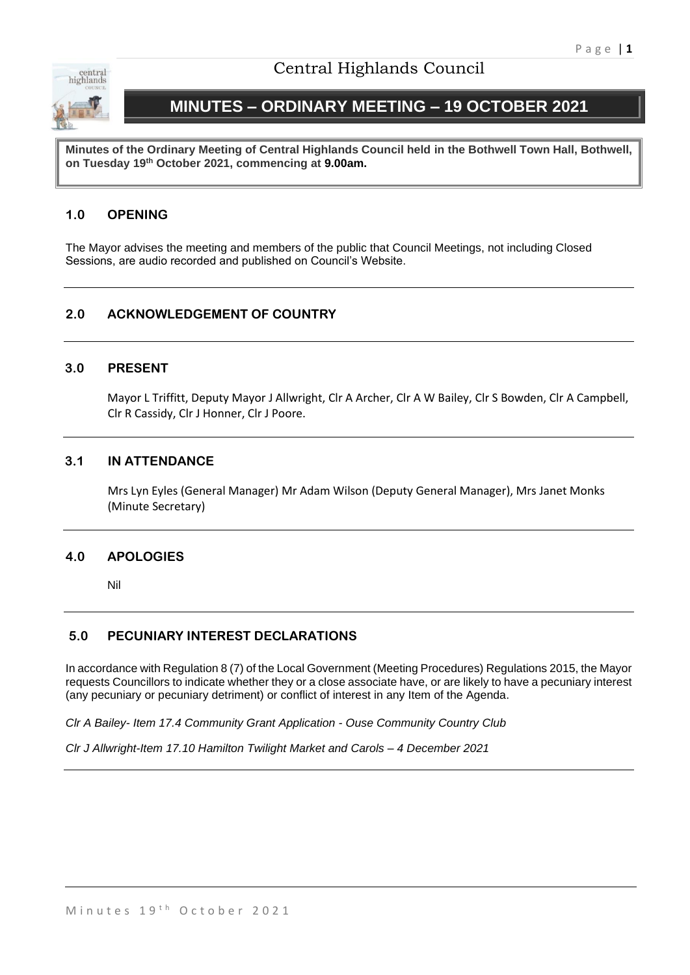

# Central Highlands Council

# **MINUTES – ORDINARY MEETING – 19 OCTOBER 2021**

**Minutes of the Ordinary Meeting of Central Highlands Council held in the Bothwell Town Hall, Bothwell, on Tuesday 19th October 2021, commencing at 9.00am.**

# **1.0 OPENING**

The Mayor advises the meeting and members of the public that Council Meetings, not including Closed Sessions, are audio recorded and published on Council's Website.

# **2.0 ACKNOWLEDGEMENT OF COUNTRY**

#### **3.0 PRESENT**

Mayor L Triffitt, Deputy Mayor J Allwright, Clr A Archer, Clr A W Bailey, Clr S Bowden, Clr A Campbell, Clr R Cassidy, Clr J Honner, Clr J Poore.

#### **3.1 IN ATTENDANCE**

Mrs Lyn Eyles (General Manager) Mr Adam Wilson (Deputy General Manager), Mrs Janet Monks (Minute Secretary)

## **4.0 APOLOGIES**

Nil

## **5.0 PECUNIARY INTEREST DECLARATIONS**

In accordance with Regulation 8 (7) of the Local Government (Meeting Procedures) Regulations 2015, the Mayor requests Councillors to indicate whether they or a close associate have, or are likely to have a pecuniary interest (any pecuniary or pecuniary detriment) or conflict of interest in any Item of the Agenda.

*Clr A Bailey- Item 17.4 Community Grant Application - Ouse Community Country Club*

*Clr J Allwright-Item 17.10 Hamilton Twilight Market and Carols – 4 December 2021*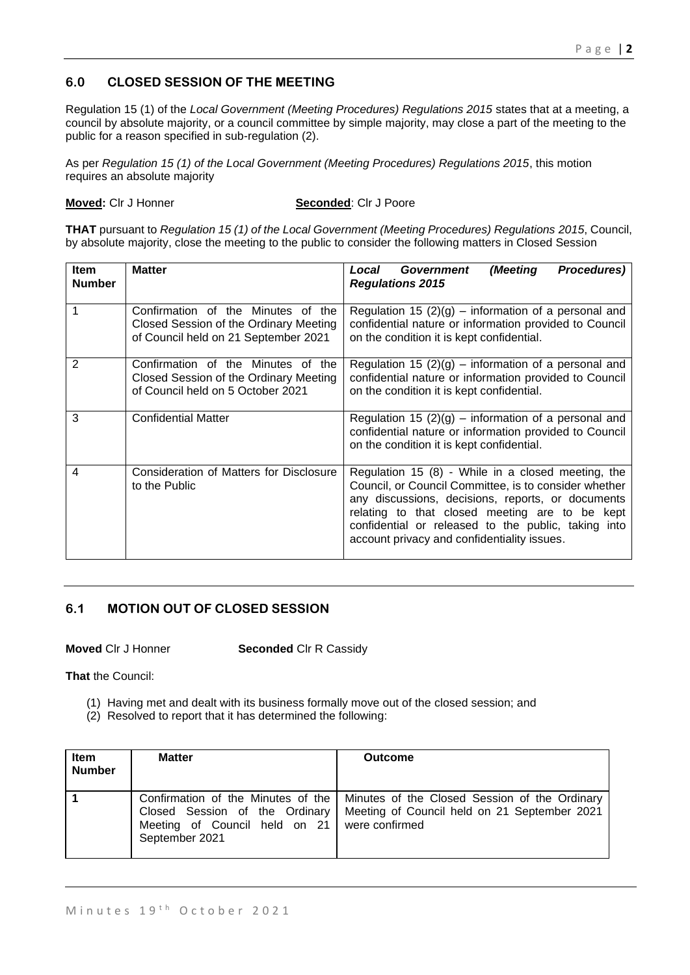# **6.0 CLOSED SESSION OF THE MEETING**

Regulation 15 (1) of the *Local Government (Meeting Procedures) Regulations 2015* states that at a meeting, a council by absolute majority, or a council committee by simple majority, may close a part of the meeting to the public for a reason specified in sub-regulation (2).

As per *Regulation 15 (1) of the Local Government (Meeting Procedures) Regulations 2015*, this motion requires an absolute majority

**Moved:** Clr J Honner **Seconded**: Clr J Poore

**THAT** pursuant to *Regulation 15 (1) of the Local Government (Meeting Procedures) Regulations 2015*, Council, by absolute majority, close the meeting to the public to consider the following matters in Closed Session

| <b>Item</b><br><b>Number</b> | <b>Matter</b>                                                                                                        | Procedures)<br>(Meeting<br>Government<br>Local<br><b>Regulations 2015</b>                                                                                                                                                                                                                                                |
|------------------------------|----------------------------------------------------------------------------------------------------------------------|--------------------------------------------------------------------------------------------------------------------------------------------------------------------------------------------------------------------------------------------------------------------------------------------------------------------------|
|                              | Confirmation of the Minutes of the<br>Closed Session of the Ordinary Meeting<br>of Council held on 21 September 2021 | Regulation 15 $(2)(g)$ – information of a personal and<br>confidential nature or information provided to Council<br>on the condition it is kept confidential.                                                                                                                                                            |
| 2                            | Confirmation of the Minutes of the<br>Closed Session of the Ordinary Meeting<br>of Council held on 5 October 2021    | Regulation 15 $(2)(g)$ – information of a personal and<br>confidential nature or information provided to Council<br>on the condition it is kept confidential.                                                                                                                                                            |
| 3                            | <b>Confidential Matter</b>                                                                                           | Regulation 15 $(2)(g)$ – information of a personal and<br>confidential nature or information provided to Council<br>on the condition it is kept confidential.                                                                                                                                                            |
| 4                            | Consideration of Matters for Disclosure<br>to the Public                                                             | Regulation 15 (8) - While in a closed meeting, the<br>Council, or Council Committee, is to consider whether<br>any discussions, decisions, reports, or documents<br>relating to that closed meeting are to be kept<br>confidential or released to the public, taking into<br>account privacy and confidentiality issues. |

# **6.1 MOTION OUT OF CLOSED SESSION**

**Moved** Clr J Honner **Seconded** Clr R Cassidy

**That** the Council:

- (1) Having met and dealt with its business formally move out of the closed session; and
- (2) Resolved to report that it has determined the following:

| Item<br><b>Number</b> | <b>Matter</b>                                                                                                                          | <b>Outcome</b>                                                                                |
|-----------------------|----------------------------------------------------------------------------------------------------------------------------------------|-----------------------------------------------------------------------------------------------|
|                       | Confirmation of the Minutes of the<br>Closed Session of the Ordinary<br>Meeting of Council held on 21 were confirmed<br>September 2021 | Minutes of the Closed Session of the Ordinary<br>Meeting of Council held on 21 September 2021 |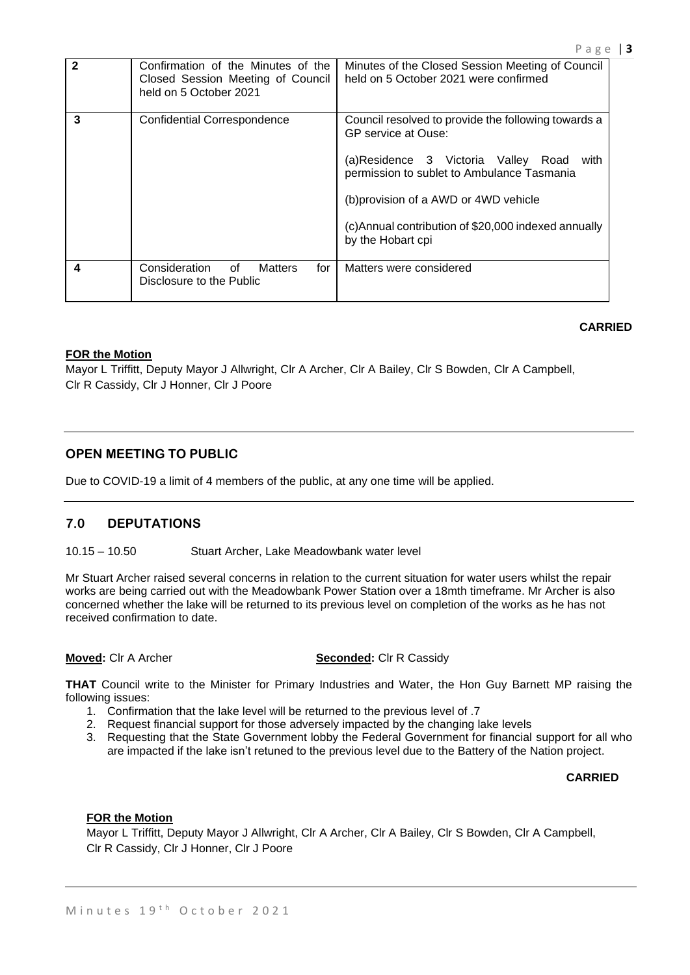| 2 | Confirmation of the Minutes of the<br>Closed Session Meeting of Council<br>held on 5 October 2021 | Minutes of the Closed Session Meeting of Council<br>held on 5 October 2021 were confirmed                                                                                                                                                                                                        |
|---|---------------------------------------------------------------------------------------------------|--------------------------------------------------------------------------------------------------------------------------------------------------------------------------------------------------------------------------------------------------------------------------------------------------|
| 3 | <b>Confidential Correspondence</b>                                                                | Council resolved to provide the following towards a<br><b>GP</b> service at Ouse:<br>(a)Residence 3 Victoria Valley Road with<br>permission to sublet to Ambulance Tasmania<br>(b) provision of a AWD or 4WD vehicle<br>(c)Annual contribution of \$20,000 indexed annually<br>by the Hobart cpi |
| 4 | Consideration<br>0f<br>for<br><b>Matters</b><br>Disclosure to the Public                          | Matters were considered                                                                                                                                                                                                                                                                          |

## **CARRIED**

#### **FOR the Motion**

Mayor L Triffitt, Deputy Mayor J Allwright, Clr A Archer, Clr A Bailey, Clr S Bowden, Clr A Campbell, Clr R Cassidy, Clr J Honner, Clr J Poore

# **OPEN MEETING TO PUBLIC**

Due to COVID-19 a limit of 4 members of the public, at any one time will be applied.

## **7.0 DEPUTATIONS**

#### 10.15 – 10.50 Stuart Archer, Lake Meadowbank water level

Mr Stuart Archer raised several concerns in relation to the current situation for water users whilst the repair works are being carried out with the Meadowbank Power Station over a 18mth timeframe. Mr Archer is also concerned whether the lake will be returned to its previous level on completion of the works as he has not received confirmation to date.

#### **Moved:** Clr A Archer **Seconded:** Clr R Cassidy

**THAT** Council write to the Minister for Primary Industries and Water, the Hon Guy Barnett MP raising the following issues:

- 1. Confirmation that the lake level will be returned to the previous level of .7
- 2. Request financial support for those adversely impacted by the changing lake levels
- 3. Requesting that the State Government lobby the Federal Government for financial support for all who are impacted if the lake isn't retuned to the previous level due to the Battery of the Nation project.

#### **CARRIED**

#### **FOR the Motion**

Mayor L Triffitt, Deputy Mayor J Allwright, Clr A Archer, Clr A Bailey, Clr S Bowden, Clr A Campbell, Clr R Cassidy, Clr J Honner, Clr J Poore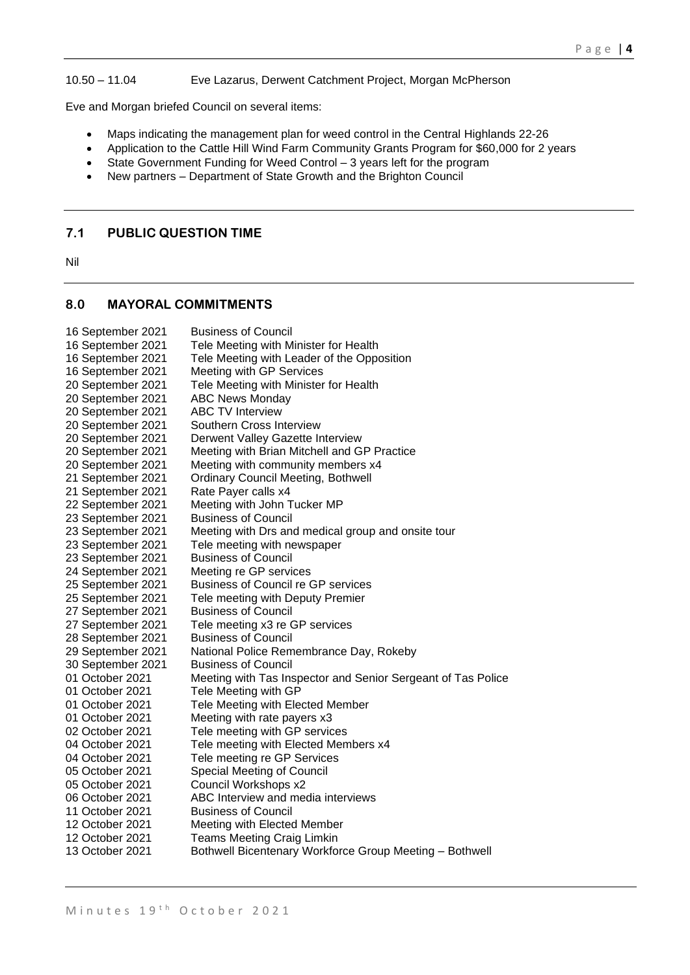#### 10.50 – 11.04 Eve Lazarus, Derwent Catchment Project, Morgan McPherson

Eve and Morgan briefed Council on several items:

- Maps indicating the management plan for weed control in the Central Highlands 22-26
- Application to the Cattle Hill Wind Farm Community Grants Program for \$60,000 for 2 years
- State Government Funding for Weed Control 3 years left for the program
- New partners Department of State Growth and the Brighton Council

## **7.1 PUBLIC QUESTION TIME**

Nil

# **8.0 MAYORAL COMMITMENTS**

| 16 September 2021 | <b>Business of Council</b>                                   |
|-------------------|--------------------------------------------------------------|
| 16 September 2021 | Tele Meeting with Minister for Health                        |
| 16 September 2021 | Tele Meeting with Leader of the Opposition                   |
| 16 September 2021 | Meeting with GP Services                                     |
| 20 September 2021 | Tele Meeting with Minister for Health                        |
| 20 September 2021 | <b>ABC News Monday</b>                                       |
| 20 September 2021 | <b>ABC TV Interview</b>                                      |
| 20 September 2021 | Southern Cross Interview                                     |
| 20 September 2021 | Derwent Valley Gazette Interview                             |
| 20 September 2021 | Meeting with Brian Mitchell and GP Practice                  |
| 20 September 2021 | Meeting with community members x4                            |
| 21 September 2021 | <b>Ordinary Council Meeting, Bothwell</b>                    |
| 21 September 2021 | Rate Payer calls x4                                          |
| 22 September 2021 | Meeting with John Tucker MP                                  |
| 23 September 2021 | <b>Business of Council</b>                                   |
| 23 September 2021 | Meeting with Drs and medical group and onsite tour           |
| 23 September 2021 | Tele meeting with newspaper                                  |
| 23 September 2021 | <b>Business of Council</b>                                   |
| 24 September 2021 | Meeting re GP services                                       |
| 25 September 2021 | <b>Business of Council re GP services</b>                    |
| 25 September 2021 | Tele meeting with Deputy Premier                             |
| 27 September 2021 | <b>Business of Council</b>                                   |
| 27 September 2021 | Tele meeting x3 re GP services                               |
| 28 September 2021 | <b>Business of Council</b>                                   |
| 29 September 2021 | National Police Remembrance Day, Rokeby                      |
| 30 September 2021 | <b>Business of Council</b>                                   |
| 01 October 2021   | Meeting with Tas Inspector and Senior Sergeant of Tas Police |
| 01 October 2021   | Tele Meeting with GP                                         |
| 01 October 2021   | Tele Meeting with Elected Member                             |
| 01 October 2021   | Meeting with rate payers x3                                  |
| 02 October 2021   | Tele meeting with GP services                                |
| 04 October 2021   | Tele meeting with Elected Members x4                         |
| 04 October 2021   | Tele meeting re GP Services                                  |
| 05 October 2021   | Special Meeting of Council                                   |
| 05 October 2021   | Council Workshops x2                                         |
| 06 October 2021   | ABC Interview and media interviews                           |
| 11 October 2021   | <b>Business of Council</b>                                   |
| 12 October 2021   | Meeting with Elected Member                                  |
| 12 October 2021   | <b>Teams Meeting Craig Limkin</b>                            |
| 13 October 2021   | Bothwell Bicentenary Workforce Group Meeting - Bothwell      |
|                   |                                                              |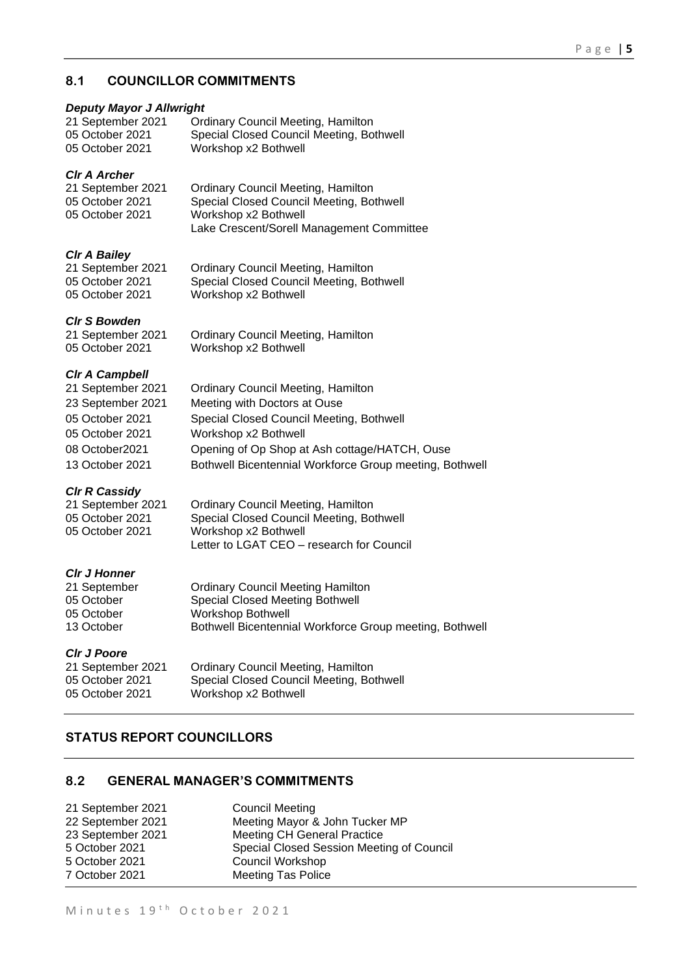# **8.1 COUNCILLOR COMMITMENTS**

## *Deputy Mayor J Allwright*

| 21 September 2021 | <b>Ordinary Council Meeting, Hamilton</b> |
|-------------------|-------------------------------------------|
| 05 October 2021   | Special Closed Council Meeting, Bothwell  |
| 05 October 2021   | Workshop x2 Bothwell                      |

## *Clr A Archer*

| 21 September 2021 | <b>Ordinary Council Meeting, Hamilton</b> |
|-------------------|-------------------------------------------|
| 05 October 2021   | Special Closed Council Meeting, Bothwell  |
| 05 October 2021   | Workshop x2 Bothwell                      |
|                   | Lake Crescent/Sorell Management Committee |

#### *Clr A Bailey*

| 21 September 2021 | <b>Ordinary Council Meeting, Hamilton</b> |
|-------------------|-------------------------------------------|
| 05 October 2021   | Special Closed Council Meeting, Bothwell  |
| 05 October 2021   | Workshop x2 Bothwell                      |

#### *Clr S Bowden*

| 21 September 2021 | <b>Ordinary Council Meeting, Hamilton</b> |
|-------------------|-------------------------------------------|
| 05 October 2021   | Workshop x2 Bothwell                      |

## *Clr A Campbell*

| 21 September 2021 | <b>Ordinary Council Meeting, Hamilton</b>               |
|-------------------|---------------------------------------------------------|
| 23 September 2021 | Meeting with Doctors at Ouse                            |
| 05 October 2021   | Special Closed Council Meeting, Bothwell                |
| 05 October 2021   | Workshop x2 Bothwell                                    |
| 08 October2021    | Opening of Op Shop at Ash cottage/HATCH, Ouse           |
| 13 October 2021   | Bothwell Bicentennial Workforce Group meeting, Bothwell |
|                   |                                                         |

## *Clr R Cassidy*

| 21 September 2021 | <b>Ordinary Council Meeting, Hamilton</b> |
|-------------------|-------------------------------------------|
| 05 October 2021   | Special Closed Council Meeting, Bothwell  |
| 05 October 2021   | Workshop x2 Bothwell                      |
|                   | Letter to LGAT CEO - research for Council |

#### *Clr J Honner*

| 21 September | <b>Ordinary Council Meeting Hamilton</b>                |
|--------------|---------------------------------------------------------|
| 05 October   | Special Closed Meeting Bothwell                         |
| 05 October   | Workshop Bothwell                                       |
| 13 October   | Bothwell Bicentennial Workforce Group meeting, Bothwell |

# *Clr J Poore*

| 21 September 2021 | <b>Ordinary Council Meeting, Hamilton</b> |
|-------------------|-------------------------------------------|
| 05 October 2021   | Special Closed Council Meeting, Bothwell  |
| 05 October 2021   | Workshop x2 Bothwell                      |

# **STATUS REPORT COUNCILLORS**

# **8.2 GENERAL MANAGER'S COMMITMENTS**

| Special Closed Session Meeting of Council |
|-------------------------------------------|
|                                           |
|                                           |
|                                           |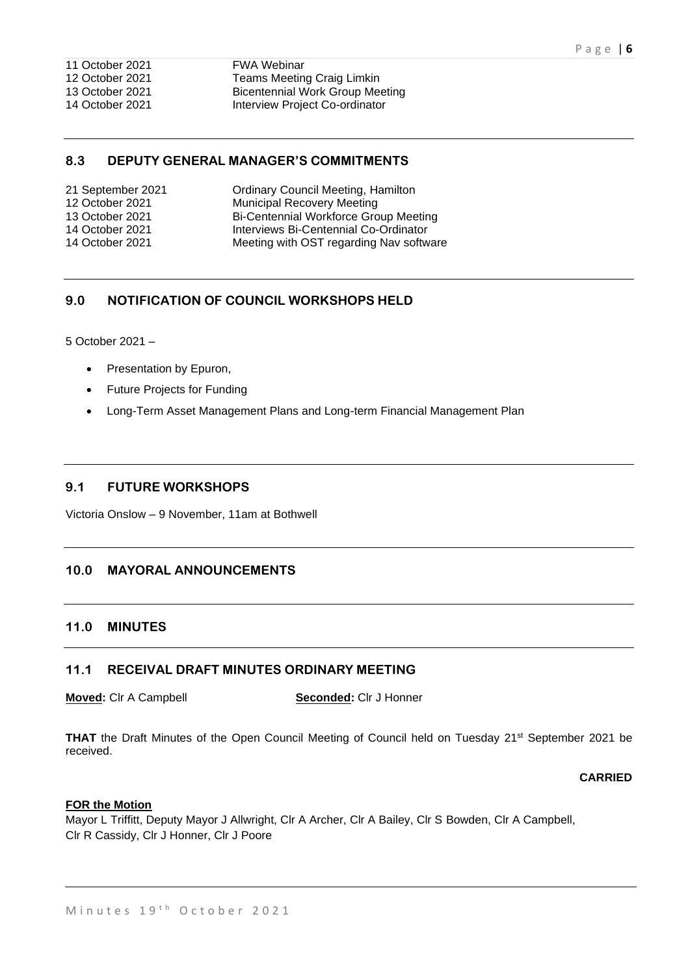12 October 2021 Teams Meeting Craig Limkin 13 October 2021 Bicentennial Work Group Meeting 14 October 2021 Interview Project Co-ordinator

# **8.3 DEPUTY GENERAL MANAGER'S COMMITMENTS**

| <b>Ordinary Council Meeting, Hamilton</b> |
|-------------------------------------------|
| <b>Municipal Recovery Meeting</b>         |
| Bi-Centennial Workforce Group Meeting     |
| Interviews Bi-Centennial Co-Ordinator     |
| Meeting with OST regarding Nav software   |
|                                           |

# **9.0 NOTIFICATION OF COUNCIL WORKSHOPS HELD**

5 October 2021 –

- Presentation by Epuron,
- Future Projects for Funding
- Long-Term Asset Management Plans and Long-term Financial Management Plan

## **9.1 FUTURE WORKSHOPS**

Victoria Onslow – 9 November, 11am at Bothwell

# **10.0 MAYORAL ANNOUNCEMENTS**

# **11.0 MINUTES**

## **11.1 RECEIVAL DRAFT MINUTES ORDINARY MEETING**

**Moved:** Clr A Campbell **Seconded:** Clr J Honner

**THAT** the Draft Minutes of the Open Council Meeting of Council held on Tuesday 21st September 2021 be received.

## **CARRIED**

#### **FOR the Motion**

Mayor L Triffitt, Deputy Mayor J Allwright, Clr A Archer, Clr A Bailey, Clr S Bowden, Clr A Campbell, Clr R Cassidy, Clr J Honner, Clr J Poore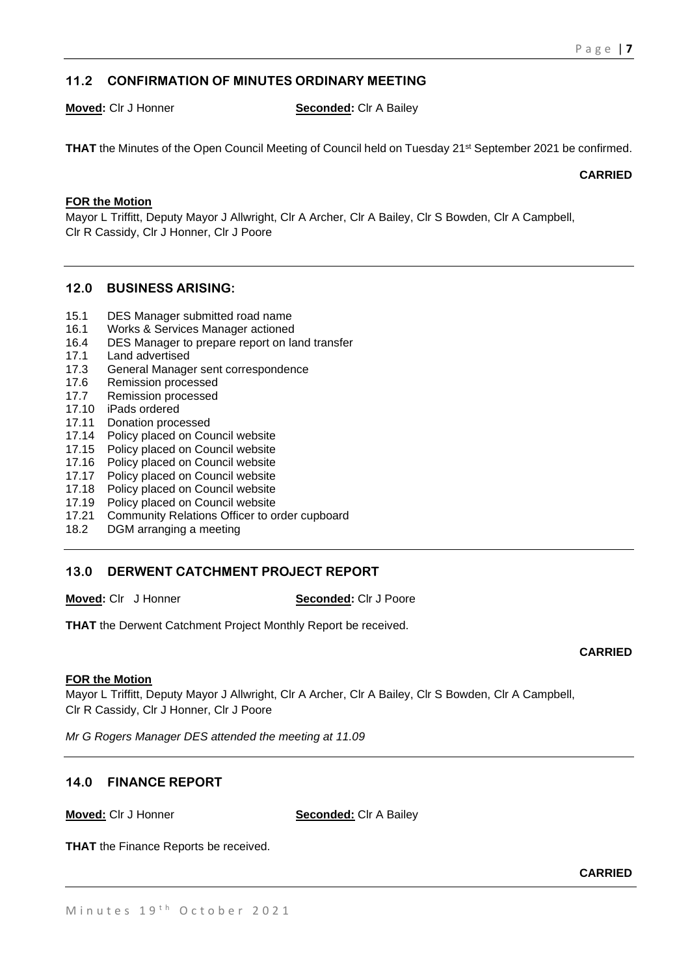# **11.2 CONFIRMATION OF MINUTES ORDINARY MEETING**

#### **Moved:** Clr J Honner **Seconded:** Clr A Bailey

**THAT** the Minutes of the Open Council Meeting of Council held on Tuesday 21<sup>st</sup> September 2021 be confirmed.

**CARRIED**

# **FOR the Motion**

Mayor L Triffitt, Deputy Mayor J Allwright, Clr A Archer, Clr A Bailey, Clr S Bowden, Clr A Campbell, Clr R Cassidy, Clr J Honner, Clr J Poore

## **12.0 BUSINESS ARISING:**

- 15.1 DES Manager submitted road name
- 16.1 Works & Services Manager actioned
- 16.4 DES Manager to prepare report on land transfer
- 17.1 Land advertised
- 17.3 General Manager sent correspondence
- 17.6 Remission processed
- 17.7 Remission processed
- 17.10 iPads ordered
- 17.11 Donation processed
- 17.14 Policy placed on Council website<br>17.15 Policy placed on Council website
- Policy placed on Council website
- 17.16 Policy placed on Council website
- 17.17 Policy placed on Council website
- 17.18 Policy placed on Council website
- 17.19 Policy placed on Council website
- 17.21 Community Relations Officer to order cupboard
- 18.2 DGM arranging a meeting

## **13.0 DERWENT CATCHMENT PROJECT REPORT**

**Moved:** Clr J Honner **Seconded:** Clr J Poore

**THAT** the Derwent Catchment Project Monthly Report be received.

## **FOR the Motion**

Mayor L Triffitt, Deputy Mayor J Allwright, Clr A Archer, Clr A Bailey, Clr S Bowden, Clr A Campbell, Clr R Cassidy, Clr J Honner, Clr J Poore

*Mr G Rogers Manager DES attended the meeting at 11.09*

# **14.0 FINANCE REPORT**

**Moved:** Clr J Honner **Seconded:** Clr A Bailey

**THAT** the Finance Reports be received.

**CARRIED**

**CARRIED**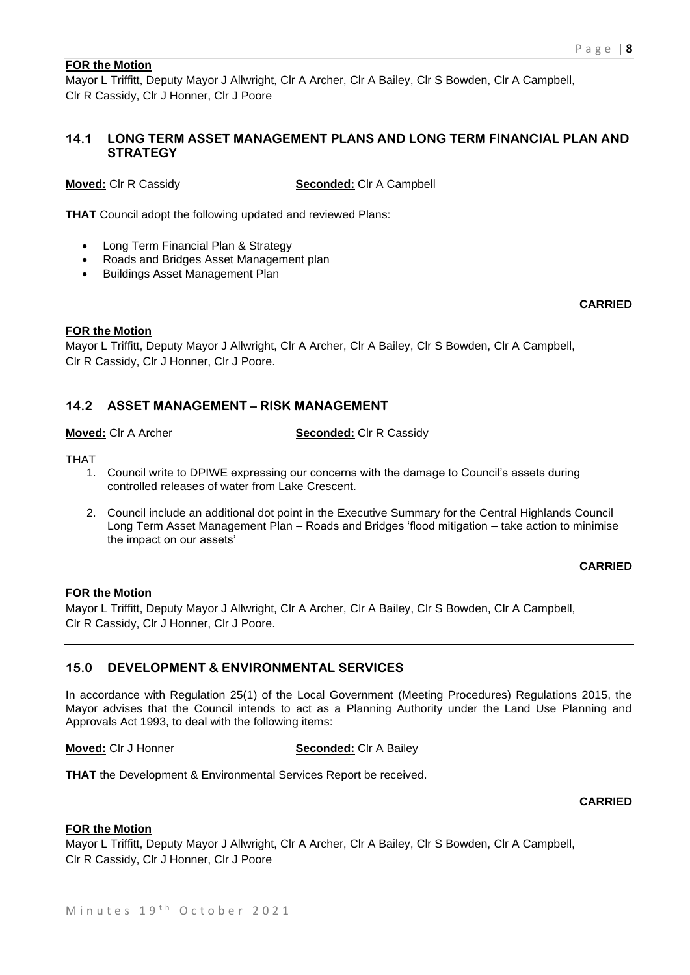#### **FOR the Motion**

Mayor L Triffitt, Deputy Mayor J Allwright, Clr A Archer, Clr A Bailey, Clr S Bowden, Clr A Campbell, Clr R Cassidy, Clr J Honner, Clr J Poore

## **14.1 LONG TERM ASSET MANAGEMENT PLANS AND LONG TERM FINANCIAL PLAN AND STRATEGY**

**Moved:** Clr R Cassidy **Seconded:** Clr A Campbell

**THAT** Council adopt the following updated and reviewed Plans:

- Long Term Financial Plan & Strategy
- Roads and Bridges Asset Management plan
- Buildings Asset Management Plan

# **CARRIED**

#### **FOR the Motion**

Mayor L Triffitt, Deputy Mayor J Allwright, Clr A Archer, Clr A Bailey, Clr S Bowden, Clr A Campbell, Clr R Cassidy, Clr J Honner, Clr J Poore.

# **14.2 ASSET MANAGEMENT – RISK MANAGEMENT**

**Moved:** Clr A Archer **Seconded:** Clr R Cassidy

THAT

- 1. Council write to DPIWE expressing our concerns with the damage to Council's assets during controlled releases of water from Lake Crescent.
- 2. Council include an additional dot point in the Executive Summary for the Central Highlands Council Long Term Asset Management Plan – Roads and Bridges 'flood mitigation – take action to minimise the impact on our assets'

#### **CARRIED**

## **FOR the Motion**

Mayor L Triffitt, Deputy Mayor J Allwright, Clr A Archer, Clr A Bailey, Clr S Bowden, Clr A Campbell, Clr R Cassidy, Clr J Honner, Clr J Poore.

# **15.0 DEVELOPMENT & ENVIRONMENTAL SERVICES**

In accordance with Regulation 25(1) of the Local Government (Meeting Procedures) Regulations 2015, the Mayor advises that the Council intends to act as a Planning Authority under the Land Use Planning and Approvals Act 1993, to deal with the following items:

#### **Moved:** Clr J Honner **Seconded:** Clr A Bailey

**THAT** the Development & Environmental Services Report be received.

#### **CARRIED**

#### **FOR the Motion**

Mayor L Triffitt, Deputy Mayor J Allwright, Clr A Archer, Clr A Bailey, Clr S Bowden, Clr A Campbell, Clr R Cassidy, Clr J Honner, Clr J Poore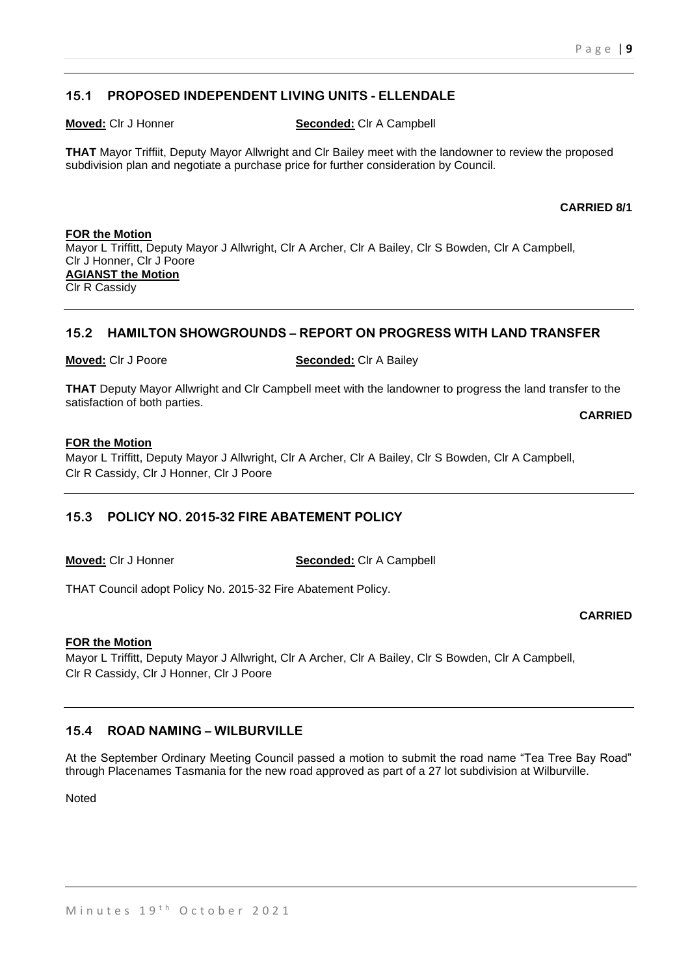# **15.1 PROPOSED INDEPENDENT LIVING UNITS - ELLENDALE**

**Moved:** Clr J Honner **Seconded:** Clr A Campbell

**THAT** Mayor Triffiit, Deputy Mayor Allwright and Clr Bailey meet with the landowner to review the proposed subdivision plan and negotiate a purchase price for further consideration by Council.

#### **CARRIED 8/1**

**FOR the Motion** Mayor L Triffitt, Deputy Mayor J Allwright, Clr A Archer, Clr A Bailey, Clr S Bowden, Clr A Campbell, Clr J Honner, Clr J Poore **AGIANST the Motion** Clr R Cassidy

## **15.2 HAMILTON SHOWGROUNDS – REPORT ON PROGRESS WITH LAND TRANSFER**

#### **Moved:** Clr J Poore **Seconded:** Clr A Bailey

**THAT** Deputy Mayor Allwright and Clr Campbell meet with the landowner to progress the land transfer to the satisfaction of both parties. **CARRIED**

# **FOR the Motion**

Mayor L Triffitt, Deputy Mayor J Allwright, Clr A Archer, Clr A Bailey, Clr S Bowden, Clr A Campbell, Clr R Cassidy, Clr J Honner, Clr J Poore

# **15.3 POLICY NO. 2015-32 FIRE ABATEMENT POLICY**

**Moved:** Clr J Honner **Seconded:** Clr A Campbell

THAT Council adopt Policy No. 2015-32 Fire Abatement Policy.

#### **CARRIED**

#### **FOR the Motion**

Mayor L Triffitt, Deputy Mayor J Allwright, Clr A Archer, Clr A Bailey, Clr S Bowden, Clr A Campbell, Clr R Cassidy, Clr J Honner, Clr J Poore

# **15.4 ROAD NAMING – WILBURVILLE**

At the September Ordinary Meeting Council passed a motion to submit the road name "Tea Tree Bay Road" through Placenames Tasmania for the new road approved as part of a 27 lot subdivision at Wilburville.

Noted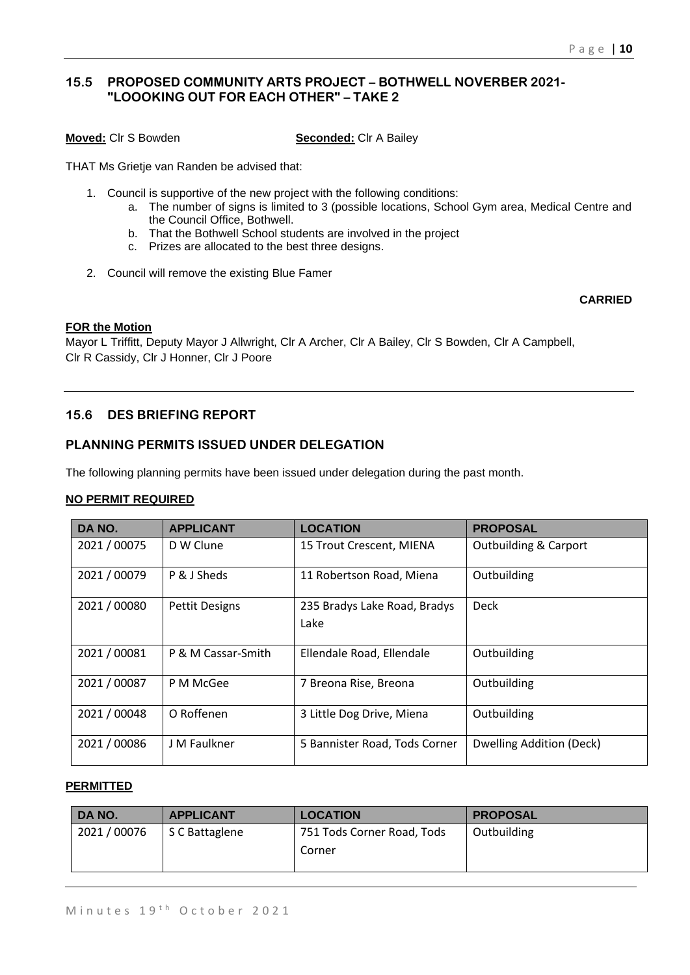# **15.5 PROPOSED COMMUNITY ARTS PROJECT – BOTHWELL NOVERBER 2021- "LOOOKING OUT FOR EACH OTHER" – TAKE 2**

**Moved:** Clr S Bowden **Seconded:** Clr A Bailey

THAT Ms Grietje van Randen be advised that:

- 1. Council is supportive of the new project with the following conditions:
	- a. The number of signs is limited to 3 (possible locations, School Gym area, Medical Centre and the Council Office, Bothwell.
	- b. That the Bothwell School students are involved in the project
	- c. Prizes are allocated to the best three designs.
- 2. Council will remove the existing Blue Famer

# **CARRIED**

# **FOR the Motion**

Mayor L Triffitt, Deputy Mayor J Allwright, Clr A Archer, Clr A Bailey, Clr S Bowden, Clr A Campbell, Clr R Cassidy, Clr J Honner, Clr J Poore

# **15.6 DES BRIEFING REPORT**

# **PLANNING PERMITS ISSUED UNDER DELEGATION**

The following planning permits have been issued under delegation during the past month.

## **NO PERMIT REQUIRED**

| DA NO.       | <b>APPLICANT</b>      | <b>LOCATION</b>                      | <b>PROPOSAL</b>                  |
|--------------|-----------------------|--------------------------------------|----------------------------------|
| 2021 / 00075 | D W Clune             | 15 Trout Crescent, MIENA             | <b>Outbuilding &amp; Carport</b> |
| 2021 / 00079 | P & J Sheds           | 11 Robertson Road, Miena             | Outbuilding                      |
| 2021 / 00080 | <b>Pettit Designs</b> | 235 Bradys Lake Road, Bradys<br>Lake | <b>Deck</b>                      |
| 2021 / 00081 | P & M Cassar-Smith    | Ellendale Road, Ellendale            | Outbuilding                      |
| 2021 / 00087 | P M McGee             | 7 Breona Rise, Breona                | Outbuilding                      |
| 2021 / 00048 | O Roffenen            | 3 Little Dog Drive, Miena            | Outbuilding                      |
| 2021 / 00086 | J M Faulkner          | 5 Bannister Road, Tods Corner        | Dwelling Addition (Deck)         |

#### **PERMITTED**

| DA NO.     | <b>APPLICANT</b> | <b>LOCATION</b>                      | <b>PROPOSAL</b> |
|------------|------------------|--------------------------------------|-----------------|
| 2021/00076 | S C Battaglene   | 751 Tods Corner Road, Tods<br>Corner | Outbuilding     |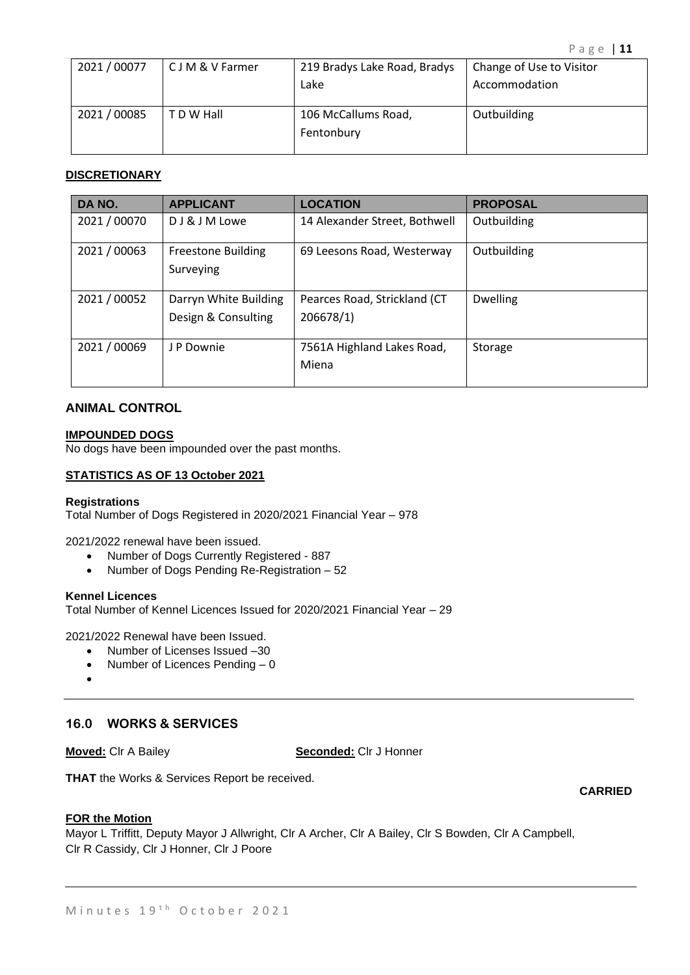| 2021 / 00077 | C J M & V Farmer | 219 Bradys Lake Road, Bradys | Change of Use to Visitor |
|--------------|------------------|------------------------------|--------------------------|
|              |                  | Lake                         | Accommodation            |
|              |                  |                              |                          |
| 2021 / 00085 | T D W Hall       | 106 McCallums Road,          | Outbuilding              |
|              |                  | Fentonbury                   |                          |
|              |                  |                              |                          |

#### **DISCRETIONARY**

| DA NO.       | <b>APPLICANT</b>                             | <b>LOCATION</b>                           | <b>PROPOSAL</b> |
|--------------|----------------------------------------------|-------------------------------------------|-----------------|
| 2021 / 00070 | DJ & J M Lowe                                | 14 Alexander Street, Bothwell             | Outbuilding     |
| 2021 / 00063 | <b>Freestone Building</b><br>Surveying       | 69 Leesons Road, Westerway                | Outbuilding     |
| 2021 / 00052 | Darryn White Building<br>Design & Consulting | Pearces Road, Strickland (CT<br>206678/1) | <b>Dwelling</b> |
| 2021 / 00069 | J P Downie                                   | 7561A Highland Lakes Road,<br>Miena       | Storage         |

# **ANIMAL CONTROL**

#### **IMPOUNDED DOGS**

No dogs have been impounded over the past months.

#### **STATISTICS AS OF 13 October 2021**

#### **Registrations**

Total Number of Dogs Registered in 2020/2021 Financial Year – 978

2021/2022 renewal have been issued.

- Number of Dogs Currently Registered 887
- Number of Dogs Pending Re-Registration 52

#### **Kennel Licences**

Total Number of Kennel Licences Issued for 2020/2021 Financial Year – 29

2021/2022 Renewal have been Issued.

- Number of Licenses Issued –30
- Number of Licences Pending 0
- •

# **16.0 WORKS & SERVICES**

**Moved:** Clr A Bailey **Seconded:** Clr J Honner

**THAT** the Works & Services Report be received.

#### **FOR the Motion**

Mayor L Triffitt, Deputy Mayor J Allwright, Clr A Archer, Clr A Bailey, Clr S Bowden, Clr A Campbell, Clr R Cassidy, Clr J Honner, Clr J Poore

**CARRIED**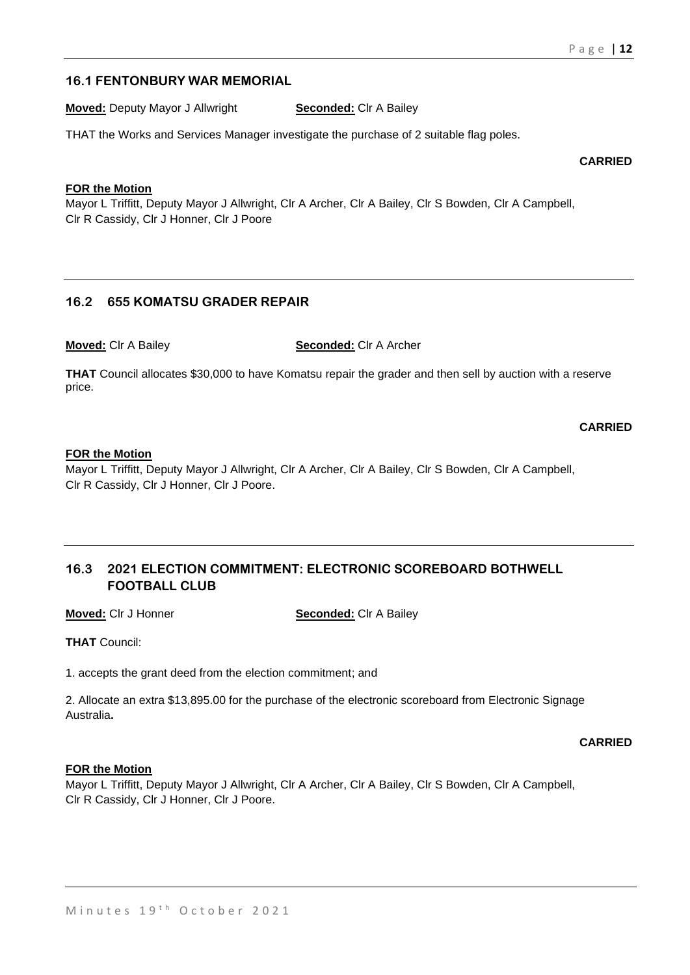# **16.1 FENTONBURY WAR MEMORIAL**

**Moved:** Deputy Mayor J Allwright **Seconded:** Clr A Bailey

THAT the Works and Services Manager investigate the purchase of 2 suitable flag poles.

**CARRIED**

#### **FOR the Motion**

Mayor L Triffitt, Deputy Mayor J Allwright, Clr A Archer, Clr A Bailey, Clr S Bowden, Clr A Campbell, Clr R Cassidy, Clr J Honner, Clr J Poore

# **16.2 655 KOMATSU GRADER REPAIR**

**Moved:** Clr A Bailey **Seconded:** Clr A Archer

**THAT** Council allocates \$30,000 to have Komatsu repair the grader and then sell by auction with a reserve price.

**CARRIED**

#### **FOR the Motion**

Mayor L Triffitt, Deputy Mayor J Allwright, Clr A Archer, Clr A Bailey, Clr S Bowden, Clr A Campbell, Clr R Cassidy, Clr J Honner, Clr J Poore.

# **16.3 2021 ELECTION COMMITMENT: ELECTRONIC SCOREBOARD BOTHWELL FOOTBALL CLUB**

**Moved:** Clr J Honner **Seconded:** Clr A Bailey

**THAT** Council:

1. accepts the grant deed from the election commitment; and

2. Allocate an extra \$13,895.00 for the purchase of the electronic scoreboard from Electronic Signage Australia**.**

**CARRIED**

#### **FOR the Motion**

Mayor L Triffitt, Deputy Mayor J Allwright, Clr A Archer, Clr A Bailey, Clr S Bowden, Clr A Campbell, Clr R Cassidy, Clr J Honner, Clr J Poore.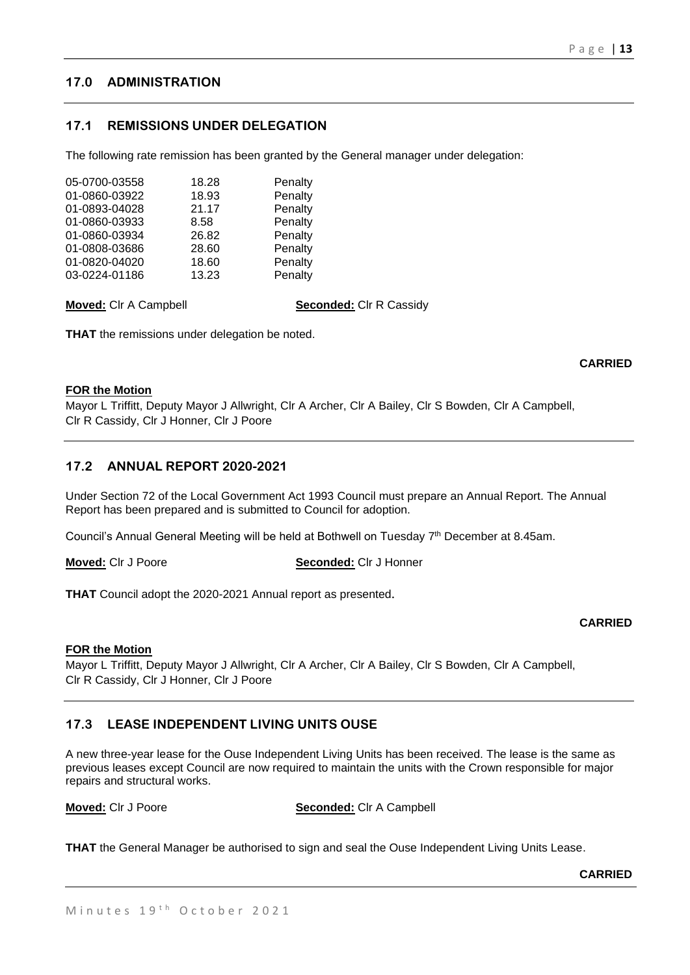# **17.0 ADMINISTRATION**

# **17.1 REMISSIONS UNDER DELEGATION**

The following rate remission has been granted by the General manager under delegation:

| 05-0700-03558 | 18.28 | Penalty |
|---------------|-------|---------|
| 01-0860-03922 | 18.93 | Penalty |
| 01-0893-04028 | 21.17 | Penalty |
| 01-0860-03933 | 8.58  | Penalty |
| 01-0860-03934 | 26.82 | Penalty |
| 01-0808-03686 | 28.60 | Penalty |
| 01-0820-04020 | 18.60 | Penalty |
| 03-0224-01186 | 13.23 | Penalty |

**Moved:** Clr A Campbell **Seconded:** Clr R Cassidy

**THAT** the remissions under delegation be noted.

#### **FOR the Motion**

Mayor L Triffitt, Deputy Mayor J Allwright, Clr A Archer, Clr A Bailey, Clr S Bowden, Clr A Campbell, Clr R Cassidy, Clr J Honner, Clr J Poore

## **17.2 ANNUAL REPORT 2020-2021**

Under Section 72 of the Local Government Act 1993 Council must prepare an Annual Report. The Annual Report has been prepared and is submitted to Council for adoption.

Council's Annual General Meeting will be held at Bothwell on Tuesday 7<sup>th</sup> December at 8.45am.

**Moved:** Clr J Poore **Seconded:** Clr J Honner

**THAT** Council adopt the 2020-2021 Annual report as presented.

# **CARRIED**

**CARRIED**

#### **FOR the Motion**

Mayor L Triffitt, Deputy Mayor J Allwright, Clr A Archer, Clr A Bailey, Clr S Bowden, Clr A Campbell, Clr R Cassidy, Clr J Honner, Clr J Poore

# **17.3 LEASE INDEPENDENT LIVING UNITS OUSE**

A new three-year lease for the Ouse Independent Living Units has been received. The lease is the same as previous leases except Council are now required to maintain the units with the Crown responsible for major repairs and structural works.

**Moved:** Clr J Poore **Seconded:** Clr A Campbell

**THAT** the General Manager be authorised to sign and seal the Ouse Independent Living Units Lease.

**CARRIED**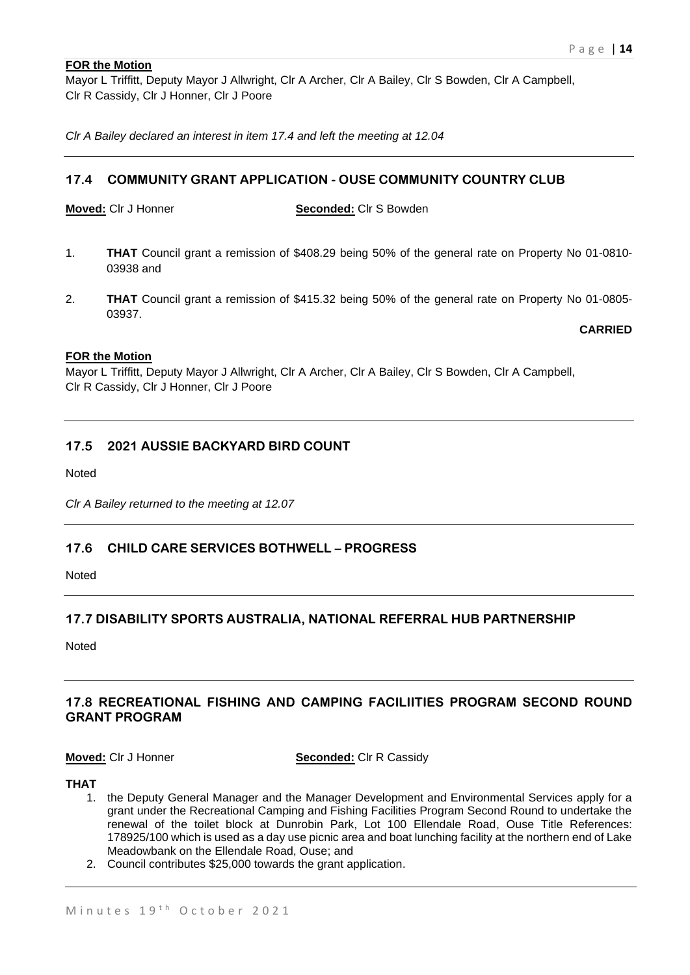## **FOR the Motion**

Mayor L Triffitt, Deputy Mayor J Allwright, Clr A Archer, Clr A Bailey, Clr S Bowden, Clr A Campbell, Clr R Cassidy, Clr J Honner, Clr J Poore

*Clr A Bailey declared an interest in item 17.4 and left the meeting at 12.04* 

# **17.4 COMMUNITY GRANT APPLICATION - OUSE COMMUNITY COUNTRY CLUB**

**Moved:** Clr J Honner **Seconded:** Clr S Bowden

- 1. **THAT** Council grant a remission of \$408.29 being 50% of the general rate on Property No 01-0810- 03938 and
- 2. **THAT** Council grant a remission of \$415.32 being 50% of the general rate on Property No 01-0805- 03937.

**CARRIED**

#### **FOR the Motion**

Mayor L Triffitt, Deputy Mayor J Allwright, Clr A Archer, Clr A Bailey, Clr S Bowden, Clr A Campbell, Clr R Cassidy, Clr J Honner, Clr J Poore

# **17.5 2021 AUSSIE BACKYARD BIRD COUNT**

Noted

*Clr A Bailey returned to the meeting at 12.07*

## **17.6 CHILD CARE SERVICES BOTHWELL – PROGRESS**

Noted

## **17.7 DISABILITY SPORTS AUSTRALIA, NATIONAL REFERRAL HUB PARTNERSHIP**

Noted

# **17.8 RECREATIONAL FISHING AND CAMPING FACILIITIES PROGRAM SECOND ROUND GRANT PROGRAM**

**Moved:** Clr J Honner **Seconded:** Clr R Cassidy

#### **THAT**

- 1. the Deputy General Manager and the Manager Development and Environmental Services apply for a grant under the Recreational Camping and Fishing Facilities Program Second Round to undertake the renewal of the toilet block at Dunrobin Park, Lot 100 Ellendale Road, Ouse Title References: 178925/100 which is used as a day use picnic area and boat lunching facility at the northern end of Lake Meadowbank on the Ellendale Road, Ouse; and
- 2. Council contributes \$25,000 towards the grant application.